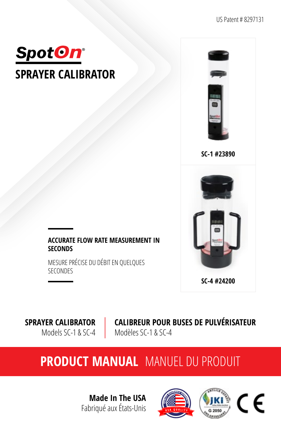



**SC-1 #23890**



### **ACCURATE FLOW RATE MEASUREMENT IN SECONDS**

MESURE PRÉCISE DU DÉBIT EN QUELQUES SECONDES

**SPRAYER CALIBRATOR**  Models SC-1 & SC-4 **CALIBREUR POUR BUSES DE PULVÉRISATEUR**  Modèles SC-1 & SC-4

# **PRODUCT MANUAL** MANUEL DU PRODUIT

**Made In The USA** Fabriqué aux États-Unis

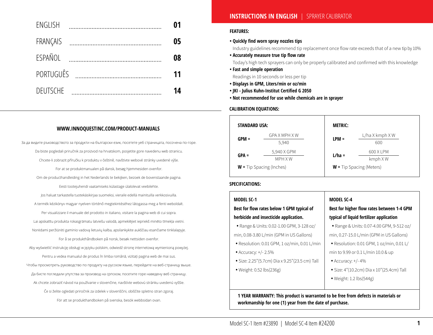| ENGLISH          | 01 |
|------------------|----|
| FRANÇAIS         | 05 |
| <b>FSPAÑOL</b>   | 08 |
| <b>PORTUGUÊS</b> | 11 |
| <b>DEUTSCHE</b>  | 14 |

### **WWW.INNOQUESTINC.COM/PRODUCT-MANUALS**

За да видите ръководството за продукти на български език, посетете уеб страницата, посочена по-горе. Da biste pogledali priručnik za proizvod na hrvatskom, posjetite gore navedenu web stranicu. Chcete-li zobrazit příručku k produktu v češtině, navštivte webové stránky uvedené výše. For at se produktmanualen på dansk, besøg hjemmesiden ovenfor. Om de producthandleiding in het Nederlands te bekijken, bezoek de bovenstaande pagina. Eesti tootejuhendi vaatamiseks külastage ülalolevat veebilehte. Jos haluat tarkastella tuotekäsikirjaa suomeksi, vieraile edellä mainituilla verkkosivuilla. A termék kézikönyv magyar nyelven történő megtekintéséhez látogassa meg a fenti weboldalt. Per visualizzare il manuale del prodotto in italiano, visitare la pagina web di cui sopra. Lai apskatītu produkta rokasgrāmatu latviešu valodā, apmeklējiet iepriekš minēto tīmekļa vietni. Norėdami peržiūrėti gaminio vadovą lietuvių kalba, apsilankykite aukščiau esančiame tinklalapyje. For å se produkthåndboken på norsk, besøk nettsiden ovenfor. Aby wyświetlić instrukcję obsługi w języku polskim, odwiedź stronę internetową wymienioną powyżej. Pentru a vedea manualul de produs în limba română, vizitați pagina web de mai sus. Чтобы просмотреть руководство по продукту на русском языке, перейдите на веб-страницу выше. Да бисте погледали упутства за производ на српском, посетите горе наведену веб страницу. Ak chcete zobraziť návod na používanie v slovenčine, navštívte webovú stránku uvedenú vyššie. Če si želite ogledati priročnik za izdelek v slovenščini, obiščite spletno stran zgoraj. För att se produkthandboken på svenska, besök webbsidan ovan.

### **INSTRUCTIONS IN ENGLISH** |SPRAYER CALIBRATOR

### **FEATURES:**

**• Quickly find worn spray nozzles tips**

Industry guidelines recommend tip replacement once flow rate exceeds that of a new tip by 10%

**• Accurately measure true tip flow rate**

Today's high tech sprayers can only be properly calibrated and confirmed with this knowledge

- **Fast and simple operation** Readings in 10 seconds or less per tip
- **Displays in GPM, Liters/min or oz/min**
- **JKI Julius Kuhn-Institut Certified G 2050**
- **Not recommended for use while chemicals are in sprayer**

### **CALIBRATION EQUATIONS:**

| <b>STANDARD USA:</b>       |                        | <b>METRIC:</b> |                            |
|----------------------------|------------------------|----------------|----------------------------|
| $GPM =$                    | GPA X MPH X W<br>5,940 | $LPM =$        | $L/$ ha X kmph X W<br>600  |
| $GPA =$                    | 5,940 X GPM<br>MPH X W | $L/ha =$       | 600 X LPM<br>kmph XW       |
| $W =$ Tip Spacing (Inches) |                        |                | $W =$ Tip Spacing (Meters) |

### **SPECIFICATIONS:**

| <b>MODEL SC-1</b>                              | <b>MODEL SC-4</b>                          |
|------------------------------------------------|--------------------------------------------|
| Best for flow rates below 1 GPM typical of     | Best for higher flow rates between 1-4 GPM |
| herbicide and insecticide application.         | typical of liquid fertilizer application   |
| • Range & Units: 0.02-1.00 GPM, 3-128 oz/      | • Range & Units: 0.07-4.00 GPM, 9-512 oz/  |
| min, 0.08-3.80 L/min (GPM in US Gallons)       | min, 0.27-15.0 L/min (GPM in US Gallons)   |
| • Resolution: 0.01 GPM, 1 oz/min, 0.01 L/min   | • Resolution: 0.01 GPM, 1 oz/min, 0.01 L/  |
| • Accuracy: $+/- 2.5\%$                        | min to 9.99 or 0.1 L/min 10.0 & up         |
| • Size: 2.25"(5.7cm) Dia x 9.25"(23.5 cm) Tall | • Accuracy: $+/- 4%$                       |
| • Weight: $0.52$ lbs $(236g)$                  | • Size: 4"(10.2cm) Dia x 10"(25.4cm) Tall  |
|                                                | • Weight: 1.2 $\text{lbs}(544g)$           |
|                                                |                                            |

**workmanship for one (1) year from the date of purchase.**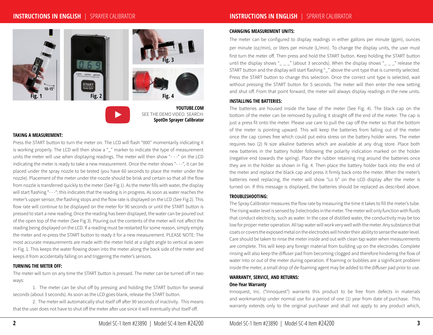### **INSTRUCTIONS IN ENGLISH** |SPRAYER CALIBRATOR



**YOUTUBE.COM** SEE THE DEMO VIDEO. SEARCH: **SpotOn Sprayer Calibrator**

### **TAKING A MEASUREMENT:**

Press the START button to turn the meter on. The LCD will flash "000" momentarily indicating it is working properly. The LCD will then show a "\_" marker to indicate the type of measurement units the meter will use when displaying readings. The meter will then show "- - -" on the LCD indicating the meter is ready to take a new measurement. Once the meter shows "- - -", it can be placed under the spray nozzle to be tested (you have 60 seconds to place the meter under the nozzle). Placement of the meter under the nozzle should be brisk and certain so that all the flow from nozzle is transferred quickly to the meter (See Fig 1). As the meter fills with water, the display will start flashing "- - -"; this indicates that the reading is in progress. As soon as water reaches the meter's upper sensor, the flashing stops and the flow rate is displayed on the LCD (See Fig 2). This flow rate will continue to be displayed on the meter for 90 seconds or until the START button is pressed to start a new reading. Once the reading has been displayed, the water can be poured out of the open top of the meter (See Fig 3). Pouring out the contents of the meter will not affect the reading being displayed on the LCD. If a reading must be restarted for some reason, simply empty the meter and re-press the START button to ready it for a new measurement. PLEASE NOTE: The most accurate measurements are made with the meter held at a slight angle to vertical as seen in Fig. 1. This keeps the water flowing down into the meter along the back side of the meter and keeps it from accidentally falling on and triggering the meter's sensors.

#### **TURNING THE METER OFF:**

The meter will turn on any time the START button is pressed. The meter can be turned off in two ways:

1. The meter can be shut off by pressing and holding the START button for several seconds (about 3 seconds). As soon as the LCD goes blank, release the START button.

2. The meter will automatically shut itself off after 90 seconds of inactivity. This means that the user does not have to shut off the meter after use since it will eventually shut itself off.

#### **CHANGING MEASUREMENT UNITS:**

The meter can be configured to display readings in either gallons per minute (gpm), ounces per minute (oz/min), or liters per minute (L/min). To change the display units, the user must first turn the meter off. Then press and hold the START button. Keep holding the START button until the display shows "\_ \_ " (about 3 seconds). When the display shows "\_ \_ " release the START button and the display will start flashing "\_" above the unit type that is currently selected. Press the START button to change this selection. Once the correct unit type is selected, wait without pressing the START button for 5 seconds. The meter will then enter the new setting and shut off. From that point forward, the meter will always display readings in the new units.

### **INSTALLING THE BATTERIES:**

The batteries are housed inside the base of the meter (See Fig. 4). The black cap on the bottom of the meter can be removed by pulling it straight off the end of the meter. The cap is just a press fit onto the meter. Please use care to pull the cap off the meter so that the bottom of the meter is pointing upward. This will keep the batteries from falling out of the meter once the cap comes free which could put extra stress on the battery holder wires. The meter requires two (2) N size alkaline batteries which are available at any drug store. Place both new batteries in the battery holder following the polarity indication marked on the holder (negative end towards the spring). Place the rubber retaining ring around the batteries once they are in the holder as shown in Fig. 4. Then place the battery holder back into the end of the meter and replace the black cap and press it firmly back onto the meter. When the meter's batteries need replacing, the meter will show "Lo b" on the LCD display after the meter is turned on. If this message is displayed, the batteries should be replaced as described above.

### **TROUBLESHOOTING:**

The Spray Calibrator measures the flow rate by measuring the time it takes to fill the meter's tube. The rising water level is sensed by 3 electrodes in the meter. The meter will only function with fluids that conduct electricity, such as water. In the case of distilled water, the conductivity may be too low for proper meter operation. All tap water will work very well with the meter. Any substance that coats or covers the exposed metal on the electrodes will hinder their ability to sense the water level. Care should be taken to rinse the meter inside and out with clean tap water when measurements are complete. This will keep any foreign material from building up on the electrodes. Complete rinsing will also keep the diffuser pad from becoming clogged and therefore hindering the flow of water into or out of the meter during operation. If foaming or bubbles are a significant problem inside the meter, a small drop of de-foaming agent may be added to the diffuser pad prior to use.

### **WARRANTY, SERVICE, AND RETURNS: One-Year Warranty**

Innoquest, Inc. ("Innoquest") warrants this product to be free from defects in materials and workmanship under normal use for a period of one (1) year from date of purchase. This warranty extends only to the original purchaser and shall not apply to any product which,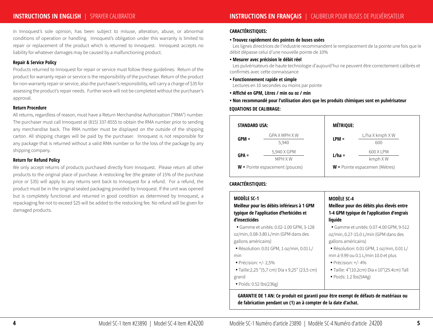# **INSTRUCTIONS IN ENGLISH** |SPRAYER CALIBRATOR

in Innoquest's sole opinion, has been subject to misuse, alteration, abuse, or abnormal conditions of operation or handling. Innoquest's obligation under this warranty is limited to repair or replacement of the product which is returned to Innoquest. Innoquest accepts no liability for whatever damages may be caused by a malfunctioning product.

### **Repair & Service Policy**

Products returned to Innoquest for repair or service must follow these guidelines: Return of the product for warranty repair or service is the responsibility of the purchaser. Return of the product for non-warranty repair or service, also the purchaser's responsibility, will carry a charge of \$35 for assessing the product's repair needs. Further work will not be completed without the purchaser's approval.

### **Return Procedure**

All returns, regardless of reason, must have a Return Merchandise Authorization ("RMA") number. The purchaser must call Innoquest at (815) 337-8555 to obtain the RMA number prior to sending any merchandise back. The RMA number must be displayed on the outside of the shipping carton. All shipping charges will be paid by the purchaser. Innoquest is not responsible for any package that is returned without a valid RMA number or for the loss of the package by any shipping company.

### **Return for Refund Policy**

We only accept returns of products purchased directly from Innoquest. Please return all other products to the original place of purchase. A restocking fee (the greater of 15% of the purchase price or \$35) will apply to any returns sent back to Innoquest for a refund. For a refund, the product must be in the original sealed packaging provided by Innoquest. If the unit was opened but is completely functional and returned in good condition as determined by Innoquest, a repackaging fee not to exceed \$25 will be added to the restocking fee. No refund will be given for damaged products.

### **CARACTÉRISTIQUES:**

#### **• Trouvez rapidement des pointes de buses usées**

Les lignes directrices de l'industrie recommandent le remplacement de la pointe une fois que le débit dépasse celui d'une nouvelle pointe de 10%

#### **• Mesurer avec précision le débit réel**

 Les pulvérisateurs de haute technologie d'aujourd'hui ne peuvent être correctement calibrés et confirmés avec cette connaissance

#### **• Fonctionnement rapide et simple**

Lectures en 10 secondes ou moins par pointe

- **Affiché en GPM, Litres / min ou oz / min**
- **Non recommandé pour l'utilisation alors que les produits chimiques sont en pulvérisateur EQUATIONS DE CALIBRAGE:**

| <b>STANDARD USA:</b> |                                  | <b>MÉTRIQUE:</b> |                                      |
|----------------------|----------------------------------|------------------|--------------------------------------|
|                      | GPA X MPH X W                    |                  | $L/$ ha X kmph X W                   |
| $GPM =$              | 5,940                            | $LPM =$          | 600                                  |
| $GPA =$              | 5,940 X GPM                      | $L/ha =$         | 600 X LPM                            |
|                      | MPH X W                          |                  | kmph XW                              |
|                      | $W =$ Pointe espacement (pouces) |                  | <b>W</b> = Pointe espacemen (Mètres) |

### **CARACTÉRISTIQUES:**

| <b>MODÈLE SC-1</b>                                                                                                                                                                                                                                                          | <b>MODÈLE SC-4</b>                                                                                                                                                                                                                                                                                     |
|-----------------------------------------------------------------------------------------------------------------------------------------------------------------------------------------------------------------------------------------------------------------------------|--------------------------------------------------------------------------------------------------------------------------------------------------------------------------------------------------------------------------------------------------------------------------------------------------------|
| Meilleur pour les débits inférieurs à 1 GPM                                                                                                                                                                                                                                 | Meilleur pour des débits plus élevés entre                                                                                                                                                                                                                                                             |
| typique de l'application d'herbicides et                                                                                                                                                                                                                                    | 1-4 GPM typique de l'application d'engrais                                                                                                                                                                                                                                                             |
| d'insecticides                                                                                                                                                                                                                                                              | liquide                                                                                                                                                                                                                                                                                                |
| · Gamme et unités: 0.02-1.00 GPM, 3-128<br>oz/min, 0.08-3.80 L/min (GPM dans des<br>gallons américains)<br>· Résolution: 0.01 GPM, 1 oz/min, 0.01 L/<br>min<br>• Précision: $+/- 2,5%$<br>• Taille:2,25 "(5,7 cm) Dia x 9,25" (23,5 cm)<br>grand<br>· Poids: 0.52 lbs(236g) | • Gamme et unités: 0.07-4.00 GPM, 9-512<br>oz/min, 0.27-15.0 L/min (GPM dans des<br>gallons américains)<br>· Résolution: 0.01 GPM, 1 oz/min, 0.01 L/<br>min à 9.99 ou 0.1 L/min 10.0 et plus<br>$\bullet$ Précision: $+/$ -4%<br>• Taille: 4"(10.2cm) Dia x 10"(25.4cm) Tall<br>• Poids: 1.2 lbs(544g) |

**GARANTIE DE 1 AN: Ce produit est garanti pour être exempt de défauts de matériaux ou de fabrication pendant un (1) an à compter de la date d'achat.**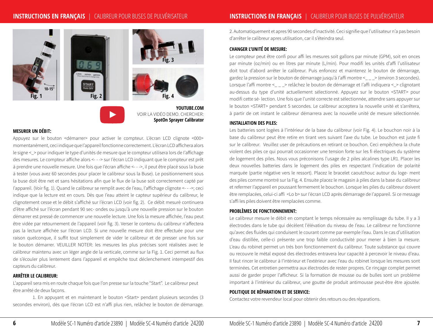# **INSTRUCTIONS EN FRANÇAIS** |CALIBREUR POUR BUSES DE PULVÉRISATEUR





### **MESURER UN DÉBIT:**

Appuyez sur le bouton <démarrer> pour activer le compteur. L'écran LCD clignote <000> momentanément, ceci indique que I'appareil fonctionne correctement. L'écran LCD affichera alors le signe <\_ > pour indiquer le type d'unités de mesure que le compteur utilisera lors de l'affichage des mesures. Le compteur affiche alors <- - -> sur I'écran LCD indiquant que le compteur est prêt à prendre une nouvelle mesure. Une fois que I'écran affiche <- - ->, il peut être placé sous la buse à tester (vous avez 60 secondes pour placer le calibreur sous la Buse). Le positionnement sous la buse doit être net et sans hésitations afin que le flux de la buse soit correctement capté par I'appareil. (Voir fig. 1). Quand le calibreur se remplit avec de I'eau, I'affichage clignote <- - ->; ceci indique que la lecture est en cours. Dès que I'eau atteint le capteur supérieur du calibreur, le clignotement cesse et le débit s'affiché sur I'écran LCD (voir fig. 2). Ce débit mesuré continuera d'être affiché sur l'écran pendant 90 sec- ondes ou jusqu'à une nouvelle pression sur le bouton démarrer est pressé de commencer une nouvelle lecture. Une fois la mesure affichée, I'eau peut être vidée par retournement de l'appareil (voir fig. 3). Verser le contenu du calibreur n'affectera pas la lecture affichée sur I'écran LCD. Si une nouvelle mesure doit être effectuée pour une raison quelconque, il suffit tout simplement de vider le calibreur et de presser une fois sur le bouton démarrer. VEUILLER NOTER: les mesures les plus précises sont réalisées avec le calibreur maintenu avec un léger angle de la verticale, comme sur la Fig. 1. Ceci permet au flux de s'écouler plus lentement dans I'appareil et empêche tout déclenchement intempestif des capteurs du calibreur.

### **ARRÊTER LE CALIBREUR:**

L'appareil sera mis en route chaque fois que l'on presse sur la touche "Start". Le calibreur peut être arrêté de deux façons.

1. En appuyant et en maintenant le bouton <Start> pendant plusieurs secondes (3 secondes environ), dès que I'écran LCD est n'affi plus rien, relâchez le bouton de démarrage.

2. Automatiquement et apres 90 secondes d'inactivité. Ceci signifie que l'utilisateur n'a pas besoin d'arrêter le calibreur apres utilisation, car il s'éteindra seul.

### **CHANGER L'UNITÉ DE MESURE:**

Le compteur peut être confi pour affi les mesures soit gallons par minute (GPM), soit en onces par minute (oz/min) ou en litres par minute (L/min). Pour modifi les unités d'affi l'utilisateur doit tout d'abord arrêter le calibreur. Puis enfoncez et maintenez le bouton de démarrage, gardez la pression sur le bouton de démarrage jusqu'à I'affi montre <\_ \_ \_> (environ 3 secondes). Lorsque l'affi montre < \_ \_ > relâchez le bouton de démarrage et l'affi indiquera < > clignotant au-dessus du type d'unité actuellement sélectionné. Appuyez sur le bouton <START> pour modifi cette sé- lection. Une fois que l'unité correcte est sélectionnée, attendre sans appuyer sur le bouton <START> pendant 5 secondes. Le calibreur acceptera la nouvelle unité et s'arrêtera, à partir de cet instant le calibreur démarrera avec la nouvelle unité de mesure sélectionnée.

#### **INSTALLATION DES PILES:**

**YOUTUBE.COM**

VOIR LA VIDÉO DEMO. CHERCHER: **SpotOn Sprayer Calibrator**

> Les batteries sont logées à l'intérieur de la base du calibreur (voir Fig. 4). Le bouchon noir à la base du calibreur peut être retire en tirant vers suivant l'axe du tube. Le bouchon est juste fi sur le calibreur. Veuillez user de précautions en retirant ce bouchon. Ceci empêchera la chute violent des piles ce qui pourrait occasionner une tension forte sur les fi électriques du système de logement des piles. Nous vous préconisons l'usage de 2 piles alcalines type LR1. Placer les deux nouvelles batteries dans le logement des piles en respectant l'indication de polarité marquée (partie négative vers le ressort). Placez le bracelet caoutchouc autour du loge- ment des piles comme montré sur la Fig. 4. Ensuite placez le magasin à piles dans la base du calibreur et refermer I'appareil en poussant fermement le bouchon. Lorsque les piles du calibreur doivent être remplacées, celui-ci affi <Lo b> sur l'écran LCD après démarrage de l'appareil. Si ce message s'affi les piles doivent être remplacées comme.

### **PROBLÈMES DE FONCTIONNEMENT:**

Le calibreur mesure le débit en comptant le temps nécessaire au remplissage du tube. Il y a 3 électrodes dans le tube qui décèlent l'élévation du niveau de I'eau. Le calibreur ne fonctionne qu'avec des fluides qui conduisent le courant comme par exemple I'eau. Dans le cas d'utilisation d'eau distillée, celle-ci présente une trop faible conductivité pour mener à bien la mesure. L'eau du robinet permet un trés bon fonctionnement du calibreur. Toute substance qui couvre ou recouvre le métal exposé des électrodes entravera leur capacité à percevoir le niveau d'eau. II faut rincer le calibreur à I'intérieur et l'extérieur avec I'eau du robinet lorsque les mesures sont terminées. Cet entretien permettra aux électrodes de rester propres. Ce rinçage complet permet aussi de garder proper l'afficheur. Si la formation de mousse ou de bulles sont un problème important à l'intérieur du calibreur, une goutte de produit antimousse peut-être être ajoutée.

### **POLITIQUE DE RÉPARATION ET DE SERVICE:**

Contactez votre revendeur local pour obtenir des retours ou des réparations.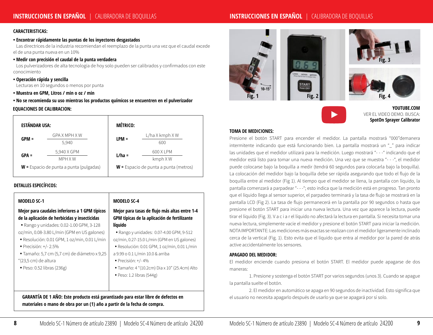# **INSTRUCCIONES EN ESPAÑOL** |CALIBRADORA DE BOQUILLAS

### **CARACTERISTICAS:**

### **• Encontrar rápidamente las puntas de los inyectores desgastados**

 Las directrices de la industria recomiendan el reemplazo de la punta una vez que el caudal excede el de una punta nueva en un 10%

### **• Medir con precisión el caudal de la punta verdadera**

 Los pulverizadores de alta tecnología de hoy solo pueden ser calibrados y confirmados con este conocimiento

#### **• Operación rápida y sencilla**

Lecturas en 10 segundos o menos por punta

**• Muestra en GPM, Litros / min o oz / min**

**• No se recomienda su uso mientras los productos químicos se encuentren en el pulverizador**

### **EQUACIONES DE CALIBRACION:**

| <b>ESTÁNDAR USA:</b> |                                           | <b>MÉTRICO:</b> |                                         |
|----------------------|-------------------------------------------|-----------------|-----------------------------------------|
| $GPM =$              | GPA X MPH X W<br>5.940                    | $LPM =$         | $L/ha$ X kmph X W<br>600                |
| $GPA =$              | 5,940 X GPM<br>MPH X W                    | $L/ha =$        | 600 X LPM<br>$kmph$ XW                  |
|                      | $W =$ Espacio de punta a punta (pulgadas) |                 | $W =$ Espacio de punta a punta (metros) |

### **DETALLES ESPECÍFICOS:**

| <b>MODELO SC-1</b>                                                                                                                                                                                                                                                                                                                                                                   | <b>MODELO SC-4</b>                                                                                                                                                                                                                                                                                                                                                                                             |
|--------------------------------------------------------------------------------------------------------------------------------------------------------------------------------------------------------------------------------------------------------------------------------------------------------------------------------------------------------------------------------------|----------------------------------------------------------------------------------------------------------------------------------------------------------------------------------------------------------------------------------------------------------------------------------------------------------------------------------------------------------------------------------------------------------------|
| Mejor para caudales inferiores a 1 GPM típicos<br>de la aplicación de herbicidas y insecticidas<br>• Rango y unidades: 0.02-1.00 GPM, 3-128<br>oz/min, 0.08-3.80 L/min (GPM en US galones)<br>· Resolución: 0.01 GPM, 1 oz/min, 0.01 L/min<br>• Precisión: $+/- 2.5\%$<br>· Tamaño: 5,7 cm (5,7 cm) de diámetro x 9,25<br>"(23,5 cm) de altura<br>$\bullet$ Peso: 0.52 libras (236g) | Mejor para tasas de flujo más altas entre 1-4<br>GPM típicas de la aplicación de fertilizante<br>líquido<br>• Rango y unidades: 0.07-4.00 GPM, 9-512<br>oz/min, 0.27-15.0 L/min (GPM en US galones)<br>· Resolución: 0.01 GPM, 1 oz/min, 0.01 L/min<br>a 9.99 o 0.1 L/min 10.0 & arriba<br>$\bullet$ Precisión: $+/$ -4%<br>• Tamaño: 4 "(10.2cm) Dia x 10" (25.4cm) Alto<br>$\bullet$ Peso: 1.2 libras (544g) |
| GARANTÍA DE 1 AÑO: Este producto está garantizado para estar libre de defectos en                                                                                                                                                                                                                                                                                                    |                                                                                                                                                                                                                                                                                                                                                                                                                |

**materiales o mano de obra por un (1) año a partir de la fecha de compra.**



**YOUTUBE.COM** VER EL VIDEO DEMO. BUSCA: **SpotOn Sprayer Calibrator**

#### **TOMA DE MEDICIONES:**

Presione el botón START para encender el medidor. La pantalla mostrará "000"demanera intermitente indicando que está funcionando bien. La pantalla mostrará un "\_" para indicar las unidades que el medidor utilizará para la medición. Luego mostrará "- - - " indicando que el medidor está listo para tomar una nueva medición. Una vez que se muestra "- - -", el medidor puede colocarse bajo la boquilla a medir (tendrá 60 segundos para colocarla bajo la boquilla). La colocación del medidor bajo la boquilla debe ser rápida asegurando que todo el flujo de la boquilla entre al medidor (Fig 1). Al tiempo que el medidor se llena, la pantalla con líquido, la pantalla comenzará a parpadear "---"; esto indica que la medición está en progreso. Tan pronto que el líquido llega al sensor superior, el parpadeo terminará y la tasa de flujo se mostrará en la pantalla LCD (Fig 2). La tasa de flujo permanecerá en la pantalla por 90 segundos o hasta que presione el botón START para iniciar una nueva lectura. Una vez que aparece la lectura, puede tirar el líquido (Fig. 3). V a c i a r el líquido no afectará la lectura en pantalla. Si necesita tomar una nueva lectura, simplemente vacíe el medidor y presione el botón START para iniciar la medición. NOTA IMPORTANTE: Las mediciones más exactas se realizan con el medidor ligeramente inclinado cerca de la vertical (Fig. 1). Esto evita que el líquido que entra al medidor por la pared de atrás active accidentalmente los sensores.

### **APAGADO DEL MEDIDOR:**

El medidor enciende cuando presiona el botón START. El medidor puede apagarse de dos maneras:

1. Presione y sostenga el botón START por varios segundos (unos 3). Cuando se apague la pantalla suelte el botón.

2. El medidor en automático se apaga en 90 segundos de inactividad. Esto significa que el usuario no necesita apagarlo después de usarlo ya que se apagará por sí solo.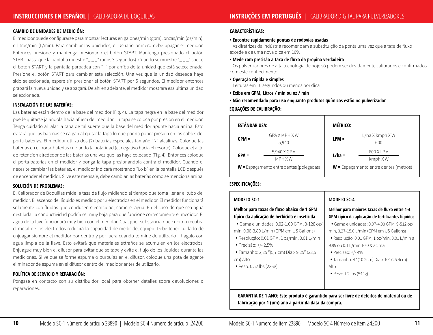### **CAMBIO DE UNIDADES DE MEDICIÓN:**

El medidor puede configurarse para mostrar lecturas en galones/min (gpm), onzas/min (oz/min), o litros/min (L/min). Para cambiar las unidades, el Usuario primero debe apagar el medidor. Entonces presione y mantenga presionado el botón START. Mantenga presionado el botón START hasta que la pantalla muestre "\_ \_ \_" (unos 3 segundos). Cuando se muestre "\_ \_ \_" suelte el botón START y la pantalla parpadea con "\_" por arriba de la unidad que está seleccionada. Presione el botón START para cambiar esta selección. Una vez que la unidad deseada haya sido seleccionada, espere sin presionar el botón START por 5 segundos. El medidor entonces grabará la nueva unidad y se apagará. De ahí en adelante, el medidor mostrará esa última unidad seleccionada.

### **INSTALACIÓN DE LAS BATERÍAS:**

Las baterías están dentro de la base del medidor (Fig. 4). La tapa negra en la base del medidor puede quitarse jalándola hacia afuera del medidor. La tapa se coloca por presión en el medidor. Tenga cuidado al jalar la tapa de tal suerte que la base del medidor apunte hacia arriba. Esto evitará que las baterías se caigan al quitar la tapa lo que podría poner presión en los cables del porta-baterías. El medidor utiliza dos (2) baterías especiales tamaño "N" alcalinas. Coloque las baterías en el porta-baterías cuidando la polaridad (el negativo hacia el resorte). Coloque el aillo de retención alrededor de las baterías una vez que las haya colocado (Fig. 4). Entonces coloque el porta-baterías en el medidor y ponga la tapa presionándola contra el medidor. Cuando el necesite cambiar las baterías, el medidor indicará mostrando "Lo b" en la pantalla LCD después de encender el medidor. Si ve este mensaje, debe cambiar las baterías como se menciona arriba.

### **SOLUCIÓN DE PROBLEMAS:**

El Calibrador de Boquillas mide la tasa de flujo midiendo el tiempo que toma llenar el tubo del medidor. El ascenso del líquido es medido por 3 electrodos en el medidor. El medidor funcionará solamente con fluidos que conducen electricidad, como el agua. En el caso de que sea agua destilada, la conductividad podría ser muy baja para que funcione correctamente el medidor. El agua de la lave funcionará muy bien con el medidor. Cualquier substancia que cubra o recubra el metal de los electrodos reducirá la capacidad de medir del equipo. Debe tener cuidado de enjuagar siempre el medidor por dentro y por fuera cuando termine de utilizarlo – hágalo con agua limpia de la llave. Esto evitará que materiales extraños se acumulen en los electrodos. Enjuague muy bien el difusor para evitar que se tape y evite el flujo de los líquidos durante las mediciones. Si ve que se forme espuma o burbujas en el difusor, coloque una gota de agente eliminador de espuma en el difusor dentro del medidor antes de utilizarlo.

### **POLÍTICA DE SERVICIO Y REPARACIÓN:**

Póngase en contacto con su distribuidor local para obtener detalles sobre devoluciones o reparaciones.

### **CARACTERÍSTICAS:**

### **• Encontre rapidamente pontas de rodovias usadas**

 As diretrizes da indústria recomendam a substituição da ponta uma vez que a taxa de fluxo excede a de uma nova dica em 10%

#### **• Mede com precisão a taxa de fluxo da propina verdadeira**

 Os pulverizadores de alta tecnologia de hoje só podem ser devidamente calibrados e confirmados com este conhecimento

**• Operação rápida e simples**

Leituras em 10 segundos ou menos por dica

- **Exibe em GPM, Litros / min ou oz / min**
- **Não recomendado para uso enquanto produtos químicos estão no pulverizador**

### **EQUAÇÕES DE CALIBRAÇÃO:**

| <b>ESTÁNDAR USA:</b> |                                            | <b>MÉTRICO:</b> |                                         |
|----------------------|--------------------------------------------|-----------------|-----------------------------------------|
| $GPM =$              | GPA X MPH X W<br>5,940                     | $LPM =$         | $L/$ ha X kmph X W<br>600               |
| $GPA =$              | 5,940 X GPM<br><b>MPH XW</b>               | $L/ha =$        | 600 X LPM<br>kmph XW                    |
|                      | $W =$ Espaçamento entre dentes (polegadas) |                 | $W =$ Espaçamento entre dentes (metros) |

# **ESPECIFICAÇÕES:**

### **MODELO SC-1**

### **Melhor para taxas de fluxo abaixo de 1 GPM típico da aplicação de herbicida e inseticida**

- Gama e unidades: 0.02-1.00 GPM, 3-128 oz/ min, 0.08-3.80 L/min (GPM em US Gallons)
- Resolução: 0.01 GPM, 1 oz/min, 0.01 L/min
- Precisão: +/- 2,5%
- Tamanho: 2,25 "(5,7 cm) Dia x 9,25" (23,5 cm) Alto
- Peso: 0.52 lbs (236g)

### **MODELO SC-4**

### **Melhor para maiores taxas de fluxo entre 1-4 GPM típico da aplicação de fertilizantes líquidos •** Gama e unidades: 0.07-4.00 GPM, 9-512 oz/

- min, 0.27-15.0 L/min (GPM em US Gallons)
- Resolução: 0.01 GPM, 1 oz/min, 0.01 L/min a 9.99 ou 0.1 L/min 10.0 & acima
- Precisão: +/- 4%
- Tamanho: 4 "(10.2cm) Dia x 10" (25.4cm) Alto
- Peso: 1.2 lbs (544g)

**GARANTIA DE 1 ANO: Este produto é garantido para ser livre de defeitos de material ou de fabricação por 1 (um) ano a partir da data da compra.**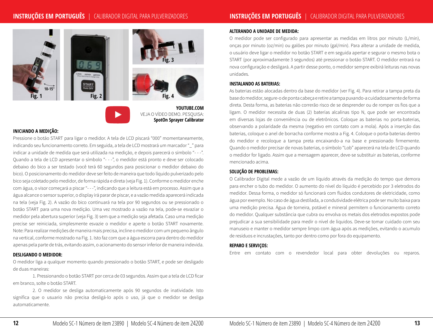# **INSTRUÇÕES EM PORTUGUÊS** |CALIBRADOR DIGITAL PARA PULVERIZADORES





VEJA O VÍDEO DEMO. PESQUISA: **SpotOn Sprayer Calibrator**

**YOUTUBE.COM**

### **INICIANDO A MEDIÇÃO:**

Pressione o botão START para ligar o medidor. A tela de LCD piscará "000" momentaneamente, indicando seu funcionamento correto. Em seguida, a tela de LCD mostrará um marcador "\_" para indicar a unidade de medida que será utilizada na medição, e depois parecerá o símbolo "- - -". Quando a tela de LCD apresentar o símbolo "- - -", o medidor está pronto e deve ser colocado debaixo do bico a ser testado (você terá 60 segundos para posicionar o medidor debaixo do bico). O posicionamento do medidor deve ser feito de maneira que todo líquido pulverizado pelo bico seja coletado pelo medidor, de forma rápida e direta (veja Fig. 1). Conforme o medidor enche com água, o visor começará a piscar "- - -", indicando que a leitura está em processo. Assim que a água alcance o sensor superior, o display irá parar de piscar, e a vazão medida aparecerá indicada na tela (veja Fig. 2). A vazão do bico continuará na tela por 90 segundos ou se pressionado o botão START para uma nova medição. Uma vez mostrado a vazão na tela, pode-se esvaziar o medidor pela abertura superior (veja Fig. 3) sem que a medição seja afetada. Caso uma medição precise ser reiniciada, simplesmente esvazie o medidor e aperte o botão START novamente. Note: Para realizar medições de maneira mais precisa, incline o medidor com um pequeno ângulo na vertical, conforme mostrado na Fig. 1. Isto faz com que a água escorra para dentro do medidor apenas pela parte de trás, evitando assim, o acionamento do sensor inferior de maneira indevida.

### **DESLIGANDO O MEDIDOR:**

O medidor liga a qualquer momento quando pressionado o botão START, e pode ser desligado de duas maneiras:

1. Pressionando o botão START por cerca de 03 segundos. Assim que a tela de LCD ficar em branco, solte o botão START.

2. O medidor se desliga automaticamente após 90 segundos de inatividade. Isto significa que o usuario não precisa desligá-lo após o uso, já que o medidor se desliga automaticamente.

### **ALTERANDO A UNIDADE DE MEDIDA:**

O medidor pode ser configurado para apresentar as medidas em litros por minuto (L/min), onças por minuto (oz/min) ou galões por minuto (gal/min). Para alterar a unidade de medida, o usuário deve ligar o medidor no botão START e em seguida apertar e segurar o mesmo bota o START (por aproximadamente 3 segundos) até pressionar o botão START. O medidor entrará na nova configuração e desligará. A partir desse ponto, o medidor sempre exibirá leituras nas novas unidades.

### **INSTALANDO AS BATERIAS:**

As baterias estão alocadas dentro da base do medidor (ver Fig. 4). Para retirar a tampa preta da base do medidor, segure-o de ponta cabeça e retire a tampa puxando-a cuidadosamente de forma direta. Desta forma, as baterias não correrão risco de se desprender ou de romper os fios que a ligam. O medidor necessita de duas (2) baterías alcalinas tipo N, que pode ser encontrada em diversas lojas de conveniência ou de eletrônicos. Coloque as baterias no porta-baterias, observando a polaridade da mesma (negativo em contato com a mola). Após a inserção das baterias, coloque o anel de borracha conforme mostra a Fig. 4. Coloque o porta-baterias dentro do medidor e recoloque a tampa preta encaixando-a na base e pressionado firmemente. Quando o medidor precisar de novas baterias, o símbolo "Lob" aparecerá na tela de LCD quando o medidor for ligado. Assim que a mensagem aparecer, deve-se substituir as baterias, conforme mencionado acima.

### **SOLUÇÃO DE PROBLEMAS:**

O Calibrador Digital mede a vazão de um líquido através da medição do tempo que demora para encher o tubo do medidor. O aumento do nível do líquido é percebido por 3 eletrodos do medidor. Dessa forma, o medidor só funcionará com fluidos condutores de eletricidade, como água por exemplo. No caso de água destilada, a condutividade elétrica pode ser muito baixa para uma medição precisa. Água de torneira, potável e mineral permitem o funcionamento correto do medidor. Qualquer substância que cubra ou envolva os metais dos eletrodos expostos pode prejudicar a sua sensibilidade para medir o nível de líquidos. Deve-se tomar cuidado com seu manuseio e manter o medidor sempre limpo com água após as medições, evitando o acumulo de resíduos e incrustações, tanto por dentro como por fora do equipamento.

### **REPARO E SERVIÇOS:**

Entre em contato com o revendedor local para obter devoluções ou reparos.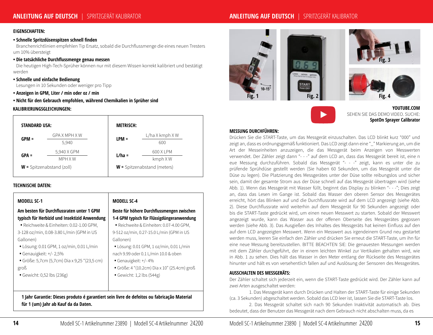# **ANLEITUNG AUF DEUTSCH** |SPRITZGERÄT KALIBRATOR

### **EIGENSCHAFTEN:**

### **• Schnelle Spritzdüsenspitzen schnell finden**

 Branchenrichtlinien empfehlen Tip Ersatz, sobald die Durchflussmenge die eines neuen Tresters um 10% übersteigt

### **• Die tatsächliche Durchflussmenge genau messen**

 Die heutigen High-Tech-Sprüher können nur mit diesem Wissen korrekt kalibriert und bestätigt werden

#### **• Schnelle und einfache Bedienung**

Lesungen in 10 Sekunden oder weniger pro Tipp

- **Anzeigen in GPM, Liter / min oder oz / min**
- **Nicht für den Gebrauch empfohlen, während Chemikalien in Sprüher sind**

#### **KALIBRIERUNGSGLEICHUNGEN:**

| <b>STANDARD USA:</b> |                             | <b>METRISCH:</b> |                               |
|----------------------|-----------------------------|------------------|-------------------------------|
| $GPM =$              | GPA X MPH X W<br>5,940      | $LPM =$          | L/ha X kmph X W<br>600        |
| $GPA =$              | 5,940 X GPM                 | $L/ha =$         | 600 X LPM                     |
|                      | MPH X W                     |                  | $kmph$ XW                     |
|                      | $W$ = Spitzenabstand (zoll) |                  | $W$ = Spitzenabstand (meters) |

### **TECHNISCHE DATEN:**

| <b>MODELL SC-1</b>                            | <b>MODELL SC-4</b>                           |
|-----------------------------------------------|----------------------------------------------|
| Am besten für Durchflussraten unter 1 GPM     | Beste für höhere Durchflussmengen zwischen   |
| typisch für Herbizid und Insektizid Anwendung | 1-4 GPM typisch für Flüssigdüngeranwendung   |
| • Reichweite & Einheiten: 0.02-1.00 GPM,      | · Reichweite & Einheiten: 0.07-4.00 GPM,     |
| 3-128 oz/min, 0.08-3.80 L/min (GPM in US      | 9-512 oz/min, 0.27-15.0 L/min (GPM in US     |
| Gallonen)                                     | Gallonen)                                    |
| • Lösung: 0.01 GPM, 1 oz/min, 0.01 L/min      | · Lösung: 0.01 GPM, 1 oz/min, 0.01 L/min     |
| • Genauigkeit: $+/- 2,5%$                     | nach 9.99 oder 0.1 L/min 10.0 & oben         |
| • Größe: 5,7cm (5,7cm) Dia x 9,25 "(23,5 cm)  | • Genauigkeit: +/-4%                         |
| groß                                          | · Größe: 4 "(10.2cm) Dia x 10" (25.4cm) groß |
| • Gewicht: 0,52 lbs (236g)                    | $\bullet$ Gewicht: 1,2 lbs (544g)            |



**YOUTUBE.COM** SEHEN SIE DAS DEMO VIDEO. SUCHE: **SpotOn Sprayer Calibrator**

### **MESSUNG DURCHFÜHREN:**

Drücken Sie die START-Taste, um das Messgerät einzuschalten. Das LCD blinkt kurz "000" und zeigt an, dass es ordnungsgemäß funktioniert. Das LCD zeigt dann eine "\_" Markierung an, um die Art der Messeinheiten anzuzeigen, die das Messgerät beim Anzeigen von Messwerten verwendet. Der Zähler zeigt dann "- - -" auf dem LCD an, dass das Messgerät bereit ist, eine n eue Messung durchzuführen. Sobald das Messgerät "- - -" zeigt, kann es unter die zu prüfende Sprühdüse gestellt werden (Sie haben 60 Sekunden, um das Messgerät unter die Düse zu legen). Die Platzierung des Messgerätes unter der Düse sollte reibungslos und sicher sein, damit der gesamte Strom aus der Düse schnell auf das Messgerät übertragen wird (siehe Abb. 1). Wenn das Messgerät mit Wasser füllt, beginnt das Display zu blinken "- - -"; Dies zeigt an, dass das Lesen im Gange ist. Sobald das Wasser den oberen Sensor des Messgerätes erreicht, hört das Blinken auf und die Durchflussrate wird auf dem LCD angezeigt (siehe Abb. 2). Diese Durchflussrate wird weiterhin auf dem Messgerät für 90 Sekunden angezeigt oder bis die START-Taste gedrückt wird, um einen neuen Messwert zu starten. Sobald der Messwert angezeigt wurde, kann das Wasser aus der offenen Oberseite des Messgerätes gegossen werden (siehe Abb. 3). Das Ausgießen des Inhaltes des Messgeräts hat keinen Einfluss auf den auf dem LCD angezeigten Messwert. Wenn ein Messwert aus irgendeinem Grund neu gestartet werden muss, leeren Sie einfach den Zähler und drücken Sie erneut die START-Taste, um ihn für eine neue Messung bereitzustellen. BITTE BEACHTEN SIE: Die genauesten Messungen werden mit dem Zähler durchgeführt, der in einem leichten Winkel zur Vertikalen gehalten wird, wie in Abb. 1 zu sehen. Dies hält das Wasser in den Meter entlang der Rückseite des Messgerätes hinunter und hält es von versehentlich fallen auf und Auslösung der Sensoren des Messgerätes.

#### **AUSSCHALTEN DES MESSGERÄTS:**

Der Zähler schaltet sich jederzeit ein, wenn die START-Taste gedrückt wird. Der Zähler kann auf zwei Arten ausgeschaltet werden:

1. Das Messgerät kann durch Drücken und Halten der START-Taste für einige Sekunden (ca. 3 Sekunden) abgeschaltet werden. Sobald das LCD leer ist, lassen Sie die START-Taste los.

2. Das Messgerät schaltet sich nach 90 Sekunden Inaktivität automatisch ab. Dies bedeutet, dass der Benutzer das Messgerät nach dem Gebrauch nicht abschalten muss, da es

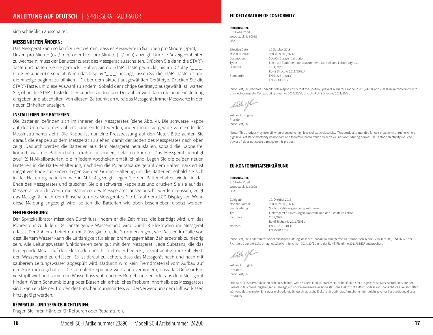sich schließlich ausschaltet.

### **MESSEINHEITEN ÄNDERN:**

Das Messgerät kann so konfiguriert werden, dass es Messwerte in Gallonen pro Minute (gpm), Unzen pro Minute (oz / min) oder Liter pro Minute (L / min) anzeigt. Um die Anzeigeeinheiten zu wechseln, muss der Benutzer zuerst das Messgerät ausschalten. Drücken Sie dann die START-Taste und halten Sie sie gedrückt. Halten Sie die START-Taste gedrückt, bis im Display "\_ \_ \_" (ca. 3 Sekunden) erscheint. Wenn das Display "\_ \_ \_" anzeigt, lassen Sie die START-Taste los und die Anzeige beginnt zu blinken "\_" über dem aktuell ausgewählten Gerätetyp. Drücken Sie die START-Taste, um diese Auswahl zu ändern. Sobald der richtige Gerätetyp ausgewählt ist, warten Sie, ohne die START-Taste für 5 Sekunden zu drücken. Der Zähler wird dann die neue Einstellung eingeben und abschalten. Von diesem Zeitpunkt an wird das Messgerät immer Messwerte in den neuen Einheiten anzeigen.

#### **INSTALLIEREN DER BATTERIEN:**

Die Batterien befinden sich im Inneren des Messgerätes (siehe Abb. 4). Die schwarze Kappe auf der Unterseite des Zählers kann entfernt werden, indem man sie gerade vom Ende des Messinstruments zieht. Die Kappe ist nur eine Presspassung auf den Meter. Bitte achten Sie darauf, die Kappe aus dem Messgerät zu ziehen, damit der Boden des Messgerätes nach oben zeigt. Dadurch werden die Batterien aus dem Messgerät herausfallen, sobald die Kappe frei kommt, was die Batteriehalter drähte besonders belasten könnte. Das Messgerät benötigt zwei (2) N-Alkalibatterien, die in jedem Apotheken erhältlich sind. Legen Sie die beiden neuen Batterien in die Batteriehalterung, nachdem die Polaritätsanzeige auf dem Halter markiert ist (negatives Ende zur Feder). Legen Sie den Gummi-Haltering um die Batterien, sobald sie sich in der Halterung befinden, wie in Abb. 4 gezeigt. Legen Sie den Batteriehalter wieder in das Ende des Messgerätes und tauschen Sie die schwarze Kappe aus und drücken Sie sie auf das Messgerät zurück. Wenn die Batterien des Messgerätes ausgetauscht werden müssen, zeigt das Messgerät nach dem Einschalten des Messgerätes "Lo b" auf dem LCD-Display an. Wenn diese Meldung angezeigt wird, sollten die Batterien wie oben beschrieben ersetzt werden.

#### **FEHLERBEHEBUNG:**

Der Spritzkalibrator misst den Durchfluss, indem er die Zeit misst, die benötigt wird, um das Röhrenrohr zu füllen. Der ansteigende Wasserstand wird durch 3 Elektroden im Messgerät erfasst. Der Zähler arbeitet nur mit Flüssigkeiten, die Strom erzeugen, wie Wasser. Im Falle von destilliertem Wasser kann die Leitfähigkeit für einen ordnungsgemäßen Zählerbetrieb zu niedrig sein. Alle Leitungswasser funktionieren sehr gut mit dem Messgerät. Jede Substanz, die das freiliegende Metall auf den Elektroden beschichtet oder bedeckt, beeinträchtigt ihre Fähigkeit, den Wasserstand zu erfassen. Es ist darauf zu achten, dass das Messgerät nach und nach mit sauberem Leitungswasser abgespült wird. Dadurch wird kein Fremdmaterial vom Aufbau auf den Elektroden gehalten. Die komplette Spülung wird auch verhindern, dass das Diffusor-Pad verstopft wird und somit den Wasserfluss während des Betriebs in den oder aus dem Messgerät hindert. Wenn Schaumbildung oder Blasen ein erhebliches Problem innerhalb des Messgerätes sind, kann ein kleiner Tropfen des Entschäumungsmittels vor der Verwendung dem Diffusorkissen hinzugefügt werden.

### **REPARATUR- UND SERVICE-RICHTLINIEN:**

Fragen Sie Ihren Händler für Retouren oder Reparaturen.

#### **EU DECLARATION OF CONFORMITY**

#### **Innoquest, Inc.**

910 Hobe Road Woodstock, IL 60098 USA

Effective Date: 10 October 2016 Model Number: 23890, 24200, 26060 Description: SpotOn Sprayer Calibrator Type: Electrical Equipment for Measurement, Control, and Laboratory Use Directive: 2014/30/EU RoHS Directive 2011/65/EU Standards: EN 61326-1:2013\* EN 50581:2012

Innoquest, Inc. declares under its sole responsibility that the SpotOn Sprayer Calibrators, model 23890,24200, and 26060 are in conformity with the Electromagnetic Compatibility Directive 2014/30/EU and the RoHS Directive 2011/65/EU.

With etc

William C. Hughes President Innoquest, Inc.

\*Note: This product may turn off when exposed to high levels of static electricity. This product is intended for use in wet environments where high levels of static electricity do not exist and therefore inadvertent power off will not occur during normal use. A static electricity induced power off does not cause damage to this product.

### **EU-KONFORMITÄTSERKLÄRUNG**

#### **Innoquest, Inc.**

910 Hobe Road Woodstock, IL 60098  $LISA$ Gültig ab: 10. Oktober 2016 Modellnummer: 23890, 24200, 26060 Beschreibung: SpotOn Kalibriergerät für Sprühdüsen Typ: Elektrogerät für Messungen, Kontrolle und den Einsatz im Labor Richtlinie: 2014/30/EU RoHS Richtlinie 2011/65/EU Normen: EN 61326-1:2013\* EN 50581:2012

Innoquest, Inc. erklärt unter seiner alleinigen Haftung, dass die SpotOn Kalibriergeräte für Sprühdüsen, Modell 23890,24200, und 26060 der Richtlinie über die elektromagnetische Verträglichkeit 2014/30/EU und der RoHS-Richtlinie 2011/65/EU entsprechen.

William C. Hughes President Innoquest, Inc.

\*Hinweis: Dieses Produkt kann sich ausschalten, wenn es dem Einfluss starker statischer Elektrizität ausgesetzt ist. Dieses Produkt ist für den Einsatz in feuchten Umgebungen ausgelegt, wo normalerweise keine hohe statische Elektrizität auftritt, sodass ein unabsichtliches Ausschalten während des normalen Einsatzes nicht erfolgt. Ein durch statische Elektrizität bedingtes Ausschalten führt nicht zu einer Beschädigung dieses Produkts.